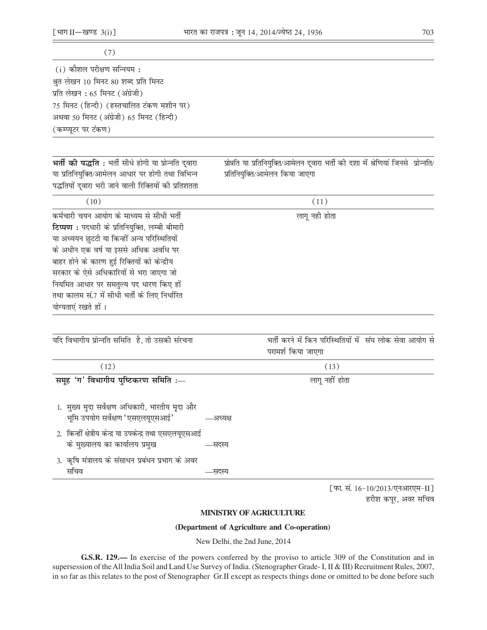$(i)$  कौशल परीक्षण सन्नियम: श्रुत लेखन 10 मिनट 80 शब्द प्रति मिनट प्रति लेखन: 65 मिनट (अंग्रेजी) 75 मिनट (हिन्दी) (हस्तचालित टंकण मशीन पर) अथवा 50 मिनट (अंग्रेजी) 65 मिनट (हिन्दी) (कम्प्यूटर पर टंकण)

भर्ती की पद्धति: भर्ती सीधे होगी या प्रोन्नति दुवारा या प्रतिनियुक्ति/आमेलन आधार पर होगी तथा विभिन्न पद्धतियों द्वारा भरी जाने वाली रिक्तियों की प्रतिशतता प्रोन्नति या प्रतिनियुक्ति/आमेलन दुवारा भर्ती की दशा में श्रेणियां जिनसे प्रोन्नति/ प्रतिनियुक्ति/आमेलन किया जाएगा

| (10)                                           | (11)          |
|------------------------------------------------|---------------|
| कर्मचारी चयन आयोग के माध्यम से सीधी भर्ती      | लागू नही होता |
| टिप्पण : पदधारी के प्रतिनियुक्ति, लम्बी बीमारी |               |
| या अध्ययन छुटटी या किन्हीं अन्य परिस्थितियों   |               |
| के अधीन एक वर्ष या इससे अधिक अवधि पर           |               |
| बाहर होने के कारण हुई रिक्तियों को केन्द्रीय   |               |
| सरकार के ऐसे अधिकारियों से भरा जाएगा जो        |               |
| नियमित आधार पर समतुल्य पद धारण किए हों         |               |
| तथा कालम सं.7 में सीधी भर्ती के लिए निर्धारित  |               |
| योग्यताएं रखते हों ।                           |               |

| यदि विभागीय प्रोन्नति समिति है, तो उसकी संरचना                                                       | भर्ती करने में किन परिस्थितियों में संघ लोक सेवा आयोग से |
|------------------------------------------------------------------------------------------------------|----------------------------------------------------------|
|                                                                                                      | परामर्श किया जाएगा                                       |
| (12)                                                                                                 | (13)                                                     |
| समूह 'ग' विभागीय पुष्टिकरण समिति :-                                                                  | लागू नहीं होता                                           |
| 1. मुख्य मृदा सर्वेक्षण अधिकारी, भारतीय मृदा और<br>भूमि उपयोग सर्वेक्षण 'एसएलयूएसआई'<br>—अध्यक्ष     |                                                          |
| 2. किन्हीं क्षेत्रीय केन्द्र या उपकेन्द्र तथा एसएलयूएसआई<br>के मुख्यालय का कार्यालय प्रमुख<br>—सदस्य |                                                          |
| 3. कृषि मंत्रालय के संसाधन प्रबंधन प्रभाग के अवर<br>सचिव                                             |                                                          |

[फा. सं. 16-10/2013/एनआरएम-II] हरीश कपूर, अवर सचिव

## **MINISTRY OF AGRICULTURE**

## (Department of Agriculture and Co-operation)

New Delhi, the 2nd June, 2014

G.S.R. 129.— In exercise of the powers conferred by the proviso to article 309 of the Constitution and in supersession of the All India Soil and Land Use Survey of India. (Stenographer Grade- I, II & III) Recruitment Rules, 2007, in so far as this relates to the post of Stenographer Gr.II except as respects things done or omitted to be done before such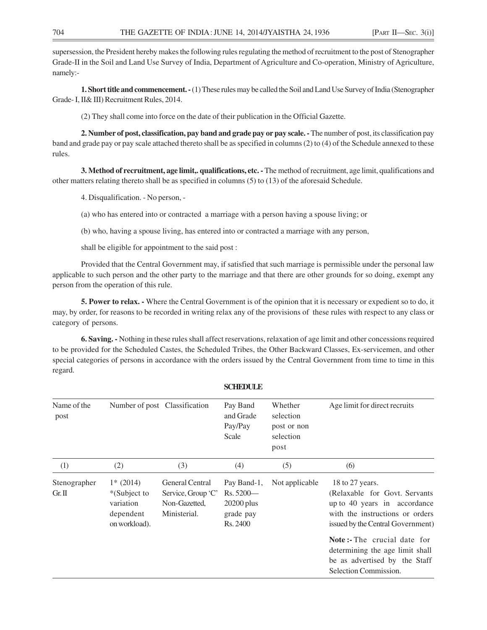supersession, the President hereby makes the following rules regulating the method of recruitment to the post of Stenographer Grade-II in the Soil and Land Use Survey of India, Department of Agriculture and Co-operation, Ministry of Agriculture, namely:-

**1. Short title and commencement. -** (1) These rules may be called the Soil and Land Use Survey of India (Stenographer Grade- I, II& III) Recruitment Rules, 2014.

(2) They shall come into force on the date of their publication in the Official Gazette.

**2. Number of post, classification, pay band and grade pay or pay scale. -** The number of post, its classification pay band and grade pay or pay scale attached thereto shall be as specified in columns (2) to (4) of the Schedule annexed to these rules.

**3. Method of recruitment, age limit,. qualifications, etc. -** The method of recruitment, age limit, qualifications and other matters relating thereto shall be as specified in columns (5) to (13) of the aforesaid Schedule.

4. Disqualification. - No person, -

(a) who has entered into or contracted a marriage with a person having a spouse living; or

(b) who, having a spouse living, has entered into or contracted a marriage with any person,

shall be eligible for appointment to the said post :

Provided that the Central Government may, if satisfied that such marriage is permissible under the personal law applicable to such person and the other party to the marriage and that there are other grounds for so doing, exempt any person from the operation of this rule.

**5. Power to relax. -** Where the Central Government is of the opinion that it is necessary or expedient so to do, it may, by order, for reasons to be recorded in writing relax any of the provisions of these rules with respect to any class or category of persons.

**6. Saving. -** Nothing in these rules shall affect reservations, relaxation of age limit and other concessions required to be provided for the Scheduled Castes, the Scheduled Tribes, the Other Backward Classes, Ex-servicemen, and other special categories of persons in accordance with the orders issued by the Central Government from time to time in this regard.

| Name of the<br>post      | Number of post Classification                                          |                                                                               | Pay Band<br>and Grade<br>Pay/Pay<br>Scale                          | Whether<br>selection<br>post or non<br>selection<br>post | Age limit for direct recruits                                                                                                                             |
|--------------------------|------------------------------------------------------------------------|-------------------------------------------------------------------------------|--------------------------------------------------------------------|----------------------------------------------------------|-----------------------------------------------------------------------------------------------------------------------------------------------------------|
| (1)                      | (2)                                                                    | (3)                                                                           | (4)                                                                | (5)                                                      | (6)                                                                                                                                                       |
| Stenographer<br>$Gr.\Pi$ | $1*$ (2014)<br>*(Subject to<br>variation<br>dependent<br>on workload). | <b>General Central</b><br>Service, Group 'C'<br>Non-Gazetted,<br>Ministerial. | Pay Band-1,<br>$Rs.5200-$<br>$20200$ plus<br>grade pay<br>Rs. 2400 | Not applicable                                           | 18 to 27 years.<br>(Relaxable for Govt. Servants)<br>up to 40 years in accordance<br>with the instructions or orders<br>issued by the Central Government) |
|                          |                                                                        |                                                                               |                                                                    |                                                          | <b>Note:-</b> The crucial date for<br>determining the age limit shall<br>be as advertised by the Staff<br>Selection Commission.                           |

**SCHEDULE**